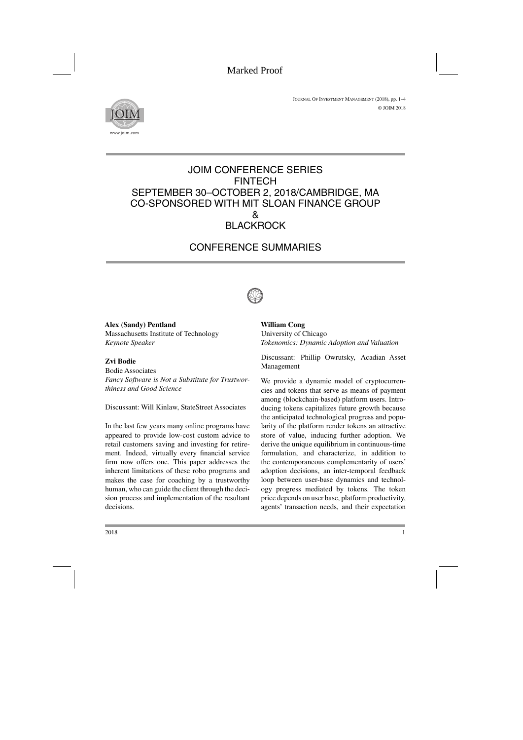

## JOIM CONFERENCE SERIES FINTECH SEPTEMBER 30–OCTOBER 2, 2018/CAMBRIDGE, MA CO-SPONSORED WITH MIT SLOAN FINANCE GROUP  $\mathcal{R}$ **BLACKROCK**

# CONFERENCE SUMMARIES



**Alex (Sandy) Pentland** Massachusetts Institute of Technology *Keynote Speaker*

## **Zvi Bodie**

Bodie Associates *Fancy Software is Not a Substitute for Trustworthiness and Good Science*

Discussant: Will Kinlaw, StateStreet Associates

In the last few years many online programs have appeared to provide low-cost custom advice to retail customers saving and investing for retirement. Indeed, virtually every financial service firm now offers one. This paper addresses the inherent limitations of these robo programs and makes the case for coaching by a trustworthy human, who can guide the client through the decision process and implementation of the resultant decisions.

**William Cong** University of Chicago *Tokenomics: Dynamic Adoption and Valuation*

Discussant: Phillip Owrutsky, Acadian Asset Management

We provide a dynamic model of cryptocurrencies and tokens that serve as means of payment among (blockchain-based) platform users. Introducing tokens capitalizes future growth because the anticipated technological progress and popularity of the platform render tokens an attractive store of value, inducing further adoption. We derive the unique equilibrium in continuous-time formulation, and characterize, in addition to the contemporaneous complementarity of users' adoption decisions, an inter-temporal feedback loop between user-base dynamics and technology progress mediated by tokens. The token price depends on user base, platform productivity, agents' transaction needs, and their expectation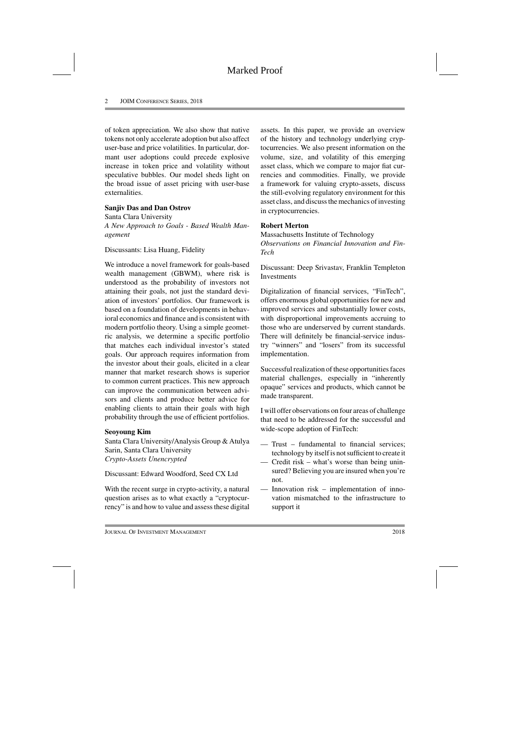of token appreciation. We also show that native tokens not only accelerate adoption but also affect user-base and price volatilities. In particular, dormant user adoptions could precede explosive increase in token price and volatility without speculative bubbles. Our model sheds light on the broad issue of asset pricing with user-base externalities.

#### **Sanjiv Das and Dan Ostrov**

Santa Clara University *A New Approach to Goals - Based Wealth Management*

Discussants: Lisa Huang, Fidelity

We introduce a novel framework for goals-based wealth management (GBWM), where risk is understood as the probability of investors not attaining their goals, not just the standard deviation of investors' portfolios. Our framework is based on a foundation of developments in behavioral economics and finance and is consistent with modern portfolio theory. Using a simple geometric analysis, we determine a specific portfolio that matches each individual investor's stated goals. Our approach requires information from the investor about their goals, elicited in a clear manner that market research shows is superior to common current practices. This new approach can improve the communication between advisors and clients and produce better advice for enabling clients to attain their goals with high probability through the use of efficient portfolios.

#### **Seoyoung Kim**

Santa Clara University/Analysis Group & Atulya Sarin, Santa Clara University *Crypto-Assets Unencrypted*

Discussant: Edward Woodford, Seed CX Ltd

With the recent surge in crypto-activity, a natural question arises as to what exactly a "cryptocurrency" is and how to value and assess these digital assets. In this paper, we provide an overview of the history and technology underlying cryptocurrencies. We also present information on the volume, size, and volatility of this emerging asset class, which we compare to major fiat currencies and commodities. Finally, we provide a framework for valuing crypto-assets, discuss the still-evolving regulatory environment for this asset class, and discuss the mechanics of investing in cryptocurrencies.

## **Robert Merton**

Massachusetts Institute of Technology *Observations on Financial Innovation and Fin-Tech*

Discussant: Deep Srivastav, Franklin Templeton **Investments** 

Digitalization of financial services, "FinTech", offers enormous global opportunities for new and improved services and substantially lower costs, with disproportional improvements accruing to those who are underserved by current standards. There will definitely be financial-service industry "winners" and "losers" from its successful implementation.

Successful realization of these opportunities faces material challenges, especially in "inherently opaque" services and products, which cannot be made transparent.

I will offer observations on four areas of challenge that need to be addressed for the successful and wide-scope adoption of FinTech:

- Trust fundamental to financial services; technology by itself is not sufficient to create it
- Credit risk what's worse than being uninsured? Believing you are insured when you're not.
- Innovation risk implementation of innovation mismatched to the infrastructure to support it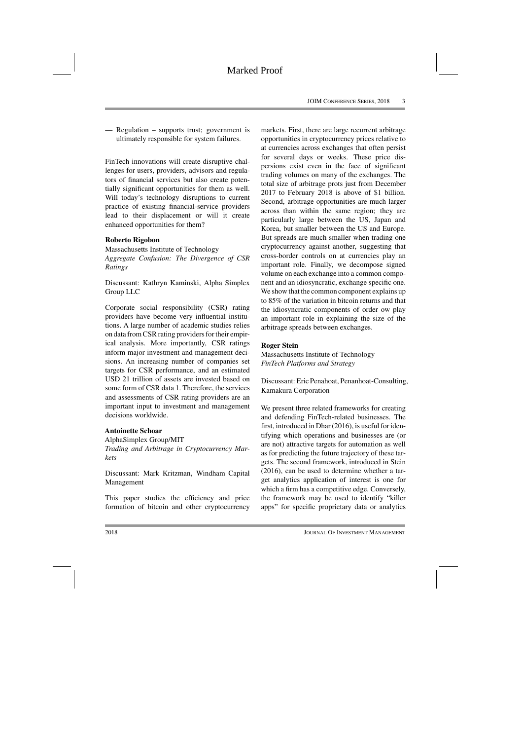— Regulation – supports trust; government is ultimately responsible for system failures.

FinTech innovations will create disruptive challenges for users, providers, advisors and regulators of financial services but also create potentially significant opportunities for them as well. Will today's technology disruptions to current practice of existing financial-service providers lead to their displacement or will it create enhanced opportunities for them?

### **Roberto Rigobon**

Massachusetts Institute of Technology *Aggregate Confusion: The Divergence of CSR Ratings*

Discussant: Kathryn Kaminski, Alpha Simplex Group LLC

Corporate social responsibility (CSR) rating providers have become very influential institutions. A large number of academic studies relies on data from CSR rating providers for their empirical analysis. More importantly, CSR ratings inform major investment and management decisions. An increasing number of companies set targets for CSR performance, and an estimated USD 21 trillion of assets are invested based on some form of CSR data 1. Therefore, the services and assessments of CSR rating providers are an important input to investment and management decisions worldwide.

#### **Antoinette Schoar**

AlphaSimplex Group/MIT *Trading and Arbitrage in Cryptocurrency Markets*

Discussant: Mark Kritzman, Windham Capital Management

This paper studies the efficiency and price formation of bitcoin and other cryptocurrency markets. First, there are large recurrent arbitrage opportunities in cryptocurrency prices relative to at currencies across exchanges that often persist for several days or weeks. These price dispersions exist even in the face of significant trading volumes on many of the exchanges. The total size of arbitrage prots just from December 2017 to February 2018 is above of \$1 billion. Second, arbitrage opportunities are much larger across than within the same region; they are particularly large between the US, Japan and Korea, but smaller between the US and Europe. But spreads are much smaller when trading one cryptocurrency against another, suggesting that cross-border controls on at currencies play an important role. Finally, we decompose signed volume on each exchange into a common component and an idiosyncratic, exchange specific one. We show that the common component explains up to 85% of the variation in bitcoin returns and that the idiosyncratic components of order ow play an important role in explaining the size of the arbitrage spreads between exchanges.

## **Roger Stein**

Massachusetts Institute of Technology *FinTech Platforms and Strategy*

Discussant: Eric Penahoat, Penanhoat-Consulting, Kamakura Corporation

We present three related frameworks for creating and defending FinTech-related businesses. The first, introduced in Dhar (2016), is useful for identifying which operations and businesses are (or are not) attractive targets for automation as well as for predicting the future trajectory of these targets. The second framework, introduced in Stein (2016), can be used to determine whether a target analytics application of interest is one for which a firm has a competitive edge. Conversely, the framework may be used to identify "killer apps" for specific proprietary data or analytics